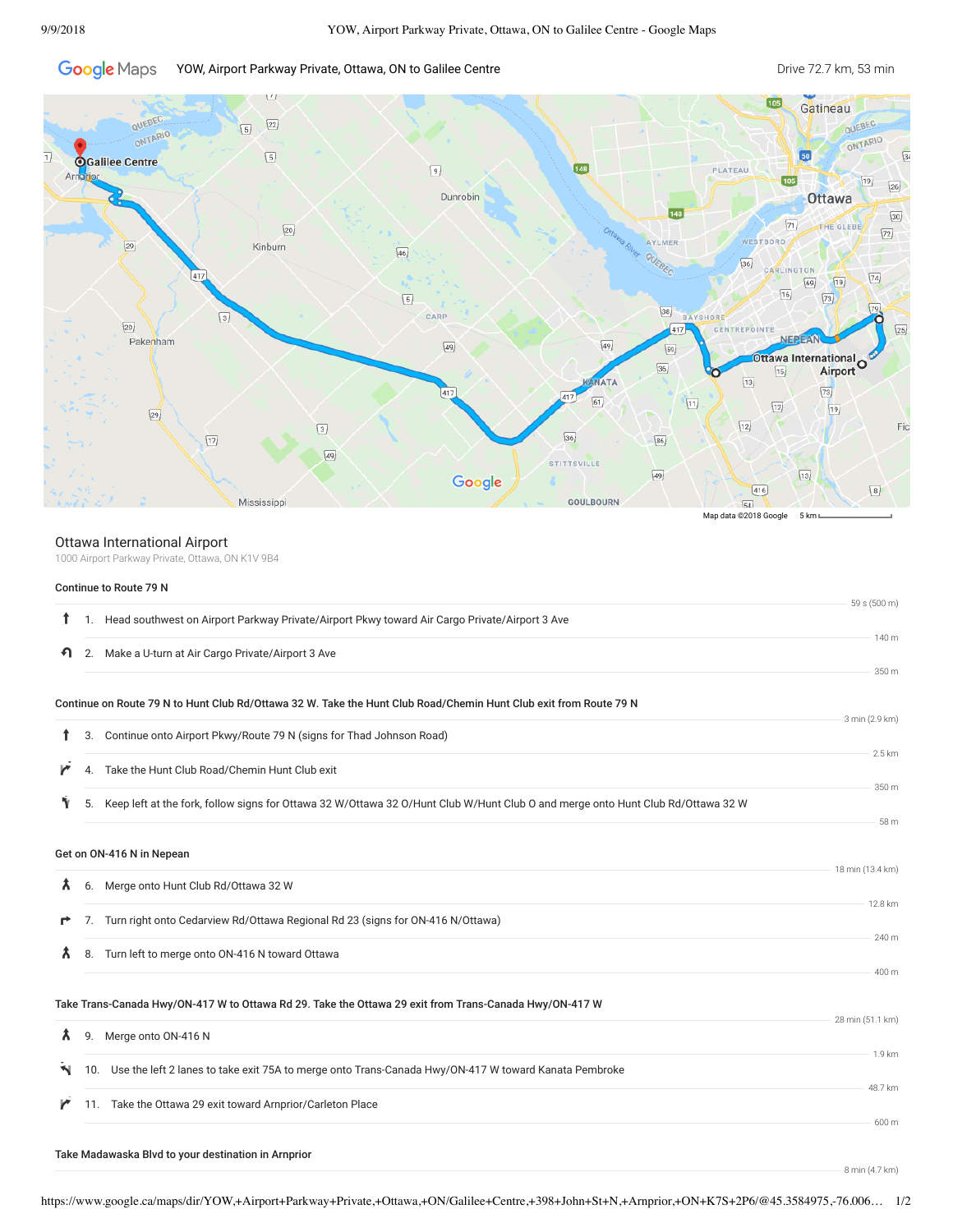#### **Google** Maps YOW, Airport Parkway Private, Ottawa, ON to Galilee Centre **Drive 72.7 km, 53 min** Drive 72.7 km, 53 min



## Ottawa International Airport

1000 Airport Parkway Private, Ottawa, ON K1V 9B4

### Continue to Route 79 N

|    |    |                                                                                                                                 | 59 s (500 m)     |
|----|----|---------------------------------------------------------------------------------------------------------------------------------|------------------|
|    |    | 1. Head southwest on Airport Parkway Private/Airport Pkwy toward Air Cargo Private/Airport 3 Ave                                |                  |
| ฑ  |    | 2. Make a U-turn at Air Cargo Private/Airport 3 Ave                                                                             | 140 m            |
|    |    |                                                                                                                                 | 350 m            |
|    |    | Continue on Route 79 N to Hunt Club Rd/Ottawa 32 W. Take the Hunt Club Road/Chemin Hunt Club exit from Route 79 N               |                  |
|    | 3. | Continue onto Airport Pkwy/Route 79 N (signs for Thad Johnson Road)                                                             | 3 min (2.9 km)   |
|    |    |                                                                                                                                 | 2.5 km           |
|    | 4. | Take the Hunt Club Road/Chemin Hunt Club exit                                                                                   |                  |
| Υ  | 5. | Keep left at the fork, follow signs for Ottawa 32 W/Ottawa 32 O/Hunt Club W/Hunt Club O and merge onto Hunt Club Rd/Ottawa 32 W | 350 m            |
|    |    |                                                                                                                                 | 58 m             |
|    |    | Get on ON-416 N in Nepean                                                                                                       |                  |
|    |    |                                                                                                                                 | 18 min (13.4 km) |
| Х. |    | 6. Merge onto Hunt Club Rd/Ottawa 32 W                                                                                          | 12.8 km          |
| r  |    | 7. Turn right onto Cedarview Rd/Ottawa Regional Rd 23 (signs for ON-416 N/Ottawa)                                               |                  |
| Ã. | 8. | Turn left to merge onto ON-416 N toward Ottawa                                                                                  | 240 m            |
|    |    |                                                                                                                                 | 400 m            |
|    |    | Take Trans-Canada Hwy/ON-417 W to Ottawa Rd 29. Take the Ottawa 29 exit from Trans-Canada Hwy/ON-417 W                          |                  |
|    |    |                                                                                                                                 | 28 min (51.1 km) |
| Â. |    | 9. Merge onto ON-416 N                                                                                                          |                  |
| N. |    | 10. Use the left 2 lanes to take exit 75A to merge onto Trans-Canada Hwy/ON-417 W toward Kanata Pembroke                        | 1.9 km           |
|    |    |                                                                                                                                 | 48.7 km          |
| r  |    | 11. Take the Ottawa 29 exit toward Arnprior/Carleton Place                                                                      | 600 m            |
|    |    |                                                                                                                                 |                  |
|    |    | Take Madawaska Blvd to your destination in Arnprior                                                                             | 8 min (4.7 km)   |
|    |    |                                                                                                                                 |                  |